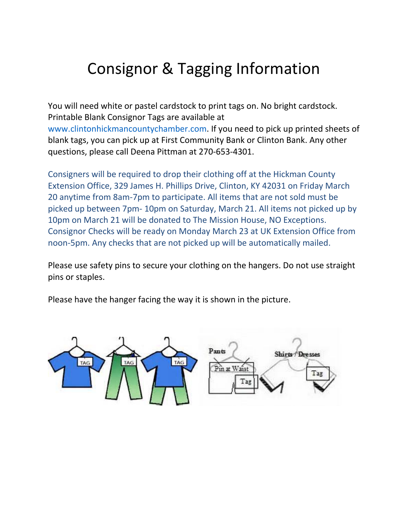## Consignor & Tagging Information

You will need white or pastel cardstock to print tags on. No bright cardstock. Printable Blank Consignor Tags are available at www.clintonhickmancountychamber.com. If you need to pick up printed sheets of blank tags, you can pick up at First Community Bank or Clinton Bank. Any other questions, please call Deena Pittman at 270-653-4301.

Consigners will be required to drop their clothing off at the Hickman County Extension Office, 329 James H. Phillips Drive, Clinton, KY 42031 on Friday March 20 anytime from 8am-7pm to participate. All items that are not sold must be picked up between 7pm- 10pm on Saturday, March 21. All items not picked up by 10pm on March 21 will be donated to The Mission House, NO Exceptions. Consignor Checks will be ready on Monday March 23 at UK Extension Office from noon-5pm. Any checks that are not picked up will be automatically mailed.

Please use safety pins to secure your clothing on the hangers. Do not use straight pins or staples.

Please have the hanger facing the way it is shown in the picture.

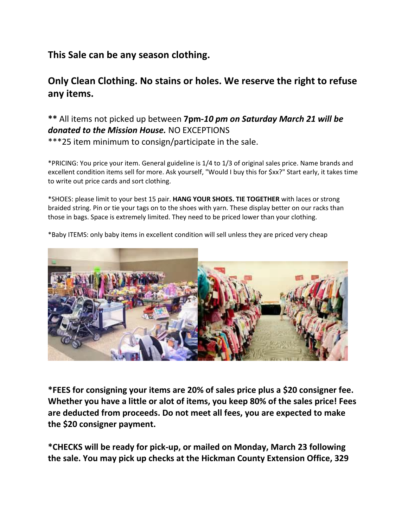## **This Sale can be any season clothing.**

## **Only Clean Clothing. No stains or holes. We reserve the right to refuse any items.**

## **\*\*** All items not picked up between **7pm-***10 pm on Saturday March 21 will be donated to the Mission House.* NO EXCEPTIONS \*\*\*25 item minimum to consign/participate in the sale.

\*PRICING: You price your item. General guideline is 1/4 to 1/3 of original sales price. Name brands and excellent condition items sell for more. Ask yourself, "Would I buy this for \$xx?" Start early, it takes time to write out price cards and sort clothing.

\*SHOES: please limit to your best 15 pair. **HANG YOUR SHOES. TIE TOGETHER** with laces or strong braided string. Pin or tie your tags on to the shoes with yarn. These display better on our racks than those in bags. Space is extremely limited. They need to be priced lower than your clothing.



\*Baby ITEMS: only baby items in excellent condition will sell unless they are priced very cheap

**\*FEES for consigning your items are 20% of sales price plus a \$20 consigner fee. Whether you have a little or alot of items, you keep 80% of the sales price! Fees are deducted from proceeds. Do not meet all fees, you are expected to make the \$20 consigner payment.** 

**\*CHECKS will be ready for pick-up, or mailed on Monday, March 23 following the sale. You may pick up checks at the Hickman County Extension Office, 329**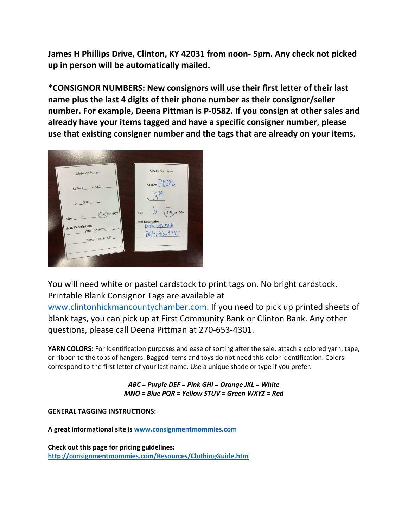**James H Phillips Drive, Clinton, KY 42031 from noon- 5pm. Any check not picked up in person will be automatically mailed.** 

**\*CONSIGNOR NUMBERS: New consignors will use their first letter of their last name plus the last 4 digits of their phone number as their consignor/seller number. For example, Deena Pittman is P-0582. If you consign at other sales and already have your items tagged and have a specific consigner number, please use that existing consigner number and the tags that are already on your items.** 



You will need white or pastel cardstock to print tags on. No bright cardstock. Printable Blank Consignor Tags are available at

www.clintonhickmancountychamber.com. If you need to pick up printed sheets of blank tags, you can pick up at First Community Bank or Clinton Bank. Any other questions, please call Deena Pittman at 270-653-4301.

**YARN COLORS:** For identification purposes and ease of sorting after the sale, attach a colored yarn, tape, or ribbon to the tops of hangers. Bagged items and toys do not need this color identification. Colors correspond to the first letter of your last name. Use a unique shade or type if you prefer.

> *ABC = Purple DEF = Pink GHI = Orange JKL = White MNO = Blue PQR = Yellow STUV = Green WXYZ = Red*

**GENERAL TAGGING INSTRUCTIONS:** 

**A great informational site is www.consignmentmommies.com** 

**Check out this page for pricing guidelines: <http://consignmentmommies.com/Resources/ClothingGuide.htm>**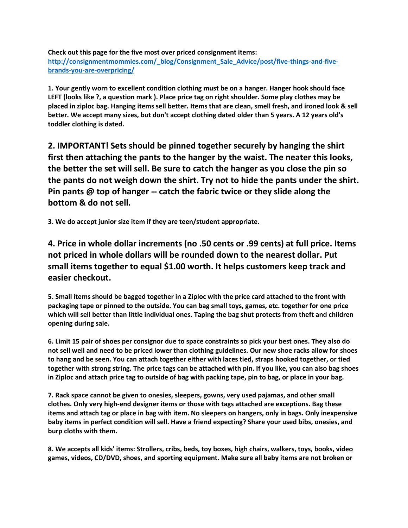**Check out this page for the five most over priced consignment items: [http://consignmentmommies.com/\\_blog/Consignment\\_Sale\\_Advice/post/five-things-and-five](http://consignmentmommies.com/_blog/Consignment_Sale_Advice/post/five-things-and-five-brands-you-are-overpricing/)[brands-you-are-overpricing/](http://consignmentmommies.com/_blog/Consignment_Sale_Advice/post/five-things-and-five-brands-you-are-overpricing/)**

**1. Your gently worn to excellent condition clothing must be on a hanger. Hanger hook should face LEFT (looks like ?, a question mark ). Place price tag on right shoulder. Some play clothes may be placed in ziploc bag. Hanging items sell better. Items that are clean, smell fresh, and ironed look & sell better. We accept many sizes, but don't accept clothing dated older than 5 years. A 12 years old's toddler clothing is dated.** 

**2. IMPORTANT! Sets should be pinned together securely by hanging the shirt first then attaching the pants to the hanger by the waist. The neater this looks, the better the set will sell. Be sure to catch the hanger as you close the pin so the pants do not weigh down the shirt. Try not to hide the pants under the shirt. Pin pants @ top of hanger -- catch the fabric twice or they slide along the bottom & do not sell.** 

**3. We do accept junior size item if they are teen/student appropriate.** 

**4. Price in whole dollar increments (no .50 cents or .99 cents) at full price. Items not priced in whole dollars will be rounded down to the nearest dollar. Put small items together to equal \$1.00 worth. It helps customers keep track and easier checkout.** 

**5. Small items should be bagged together in a Ziploc with the price card attached to the front with packaging tape or pinned to the outside. You can bag small toys, games, etc. together for one price which will sell better than little individual ones. Taping the bag shut protects from theft and children opening during sale.** 

**6. Limit 15 pair of shoes per consignor due to space constraints so pick your best ones. They also do not sell well and need to be priced lower than clothing guidelines. Our new shoe racks allow for shoes to hang and be seen. You can attach together either with laces tied, straps hooked together, or tied together with strong string. The price tags can be attached with pin. If you like, you can also bag shoes in Ziploc and attach price tag to outside of bag with packing tape, pin to bag, or place in your bag.** 

**7. Rack space cannot be given to onesies, sleepers, gowns, very used pajamas, and other small clothes. Only very high-end designer items or those with tags attached are exceptions. Bag these items and attach tag or place in bag with item. No sleepers on hangers, only in bags. Only inexpensive baby items in perfect condition will sell. Have a friend expecting? Share your used bibs, onesies, and burp cloths with them.** 

**8. We accepts all kids' items: Strollers, cribs, beds, toy boxes, high chairs, walkers, toys, books, video games, videos, CD/DVD, shoes, and sporting equipment. Make sure all baby items are not broken or**